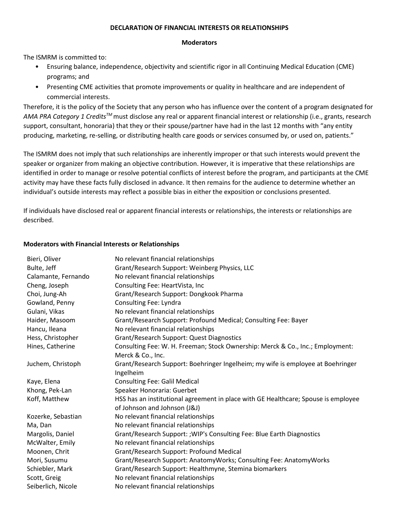## **DECLARATION OF FINANCIAL INTERESTS OR RELATIONSHIPS**

## **Moderators**

The ISMRM is committed to:

- Ensuring balance, independence, objectivity and scientific rigor in all Continuing Medical Education (CME) programs; and
- Presenting CME activities that promote improvements or quality in healthcare and are independent of commercial interests.

Therefore, it is the policy of the Society that any person who has influence over the content of a program designated for *AMA PRA Category 1 CreditsTM* must disclose any real or apparent financial interest or relationship (i.e., grants, research support, consultant, honoraria) that they or their spouse/partner have had in the last 12 months with "any entity producing, marketing, re-selling, or distributing health care goods or services consumed by, or used on, patients."

The ISMRM does not imply that such relationships are inherently improper or that such interests would prevent the speaker or organizer from making an objective contribution. However, it is imperative that these relationships are identified in order to manage or resolve potential conflicts of interest before the program, and participants at the CME activity may have these facts fully disclosed in advance. It then remains for the audience to determine whether an individual's outside interests may reflect a possible bias in either the exposition or conclusions presented.

If individuals have disclosed real or apparent financial interests or relationships, the interests or relationships are described.

## **Moderators with Financial Interests or Relationships**

| Bieri, Oliver       | No relevant financial relationships                                                |
|---------------------|------------------------------------------------------------------------------------|
| Bulte, Jeff         | Grant/Research Support: Weinberg Physics, LLC                                      |
| Calamante, Fernando | No relevant financial relationships                                                |
| Cheng, Joseph       | Consulting Fee: HeartVista, Inc                                                    |
| Choi, Jung-Ah       | Grant/Research Support: Dongkook Pharma                                            |
| Gowland, Penny      | Consulting Fee: Lyndra                                                             |
| Gulani, Vikas       | No relevant financial relationships                                                |
| Haider, Masoom      | Grant/Research Support: Profound Medical; Consulting Fee: Bayer                    |
| Hancu, Ileana       | No relevant financial relationships                                                |
| Hess, Christopher   | Grant/Research Support: Quest Diagnostics                                          |
| Hines, Catherine    | Consulting Fee: W. H. Freeman; Stock Ownership: Merck & Co., Inc.; Employment:     |
|                     | Merck & Co., Inc.                                                                  |
| Juchem, Christoph   | Grant/Research Support: Boehringer Ingelheim; my wife is employee at Boehringer    |
|                     | Ingelheim                                                                          |
| Kaye, Elena         | <b>Consulting Fee: Galil Medical</b>                                               |
| Khong, Pek-Lan      | Speaker Honoraria: Guerbet                                                         |
| Koff, Matthew       | HSS has an institutional agreement in place with GE Healthcare; Spouse is employee |
|                     | of Johnson and Johnson (J&J)                                                       |
| Kozerke, Sebastian  | No relevant financial relationships                                                |
| Ma, Dan             | No relevant financial relationships                                                |
| Margolis, Daniel    | Grant/Research Support: ; WIP's Consulting Fee: Blue Earth Diagnostics             |
| McWalter, Emily     | No relevant financial relationships                                                |
| Moonen, Chrit       | Grant/Research Support: Profound Medical                                           |
| Mori, Susumu        | Grant/Research Support: AnatomyWorks; Consulting Fee: AnatomyWorks                 |
| Schiebler, Mark     | Grant/Research Support: Healthmyne, Stemina biomarkers                             |
| Scott, Greig        | No relevant financial relationships                                                |
| Seiberlich, Nicole  | No relevant financial relationships                                                |